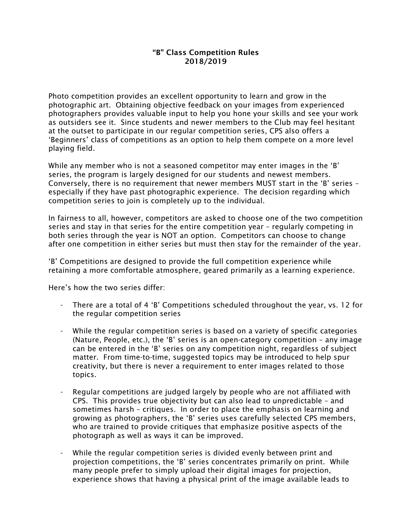## "B" Class Competition Rules 2018/2019

Photo competition provides an excellent opportunity to learn and grow in the photographic art. Obtaining objective feedback on your images from experienced photographers provides valuable input to help you hone your skills and see your work as outsiders see it. Since students and newer members to the Club may feel hesitant at the outset to participate in our regular competition series, CPS also offers a 'Beginners' class of competitions as an option to help them compete on a more level playing field.

While any member who is not a seasoned competitor may enter images in the 'B' series, the program is largely designed for our students and newest members. Conversely, there is no requirement that newer members MUST start in the 'B' series – especially if they have past photographic experience. The decision regarding which competition series to join is completely up to the individual.

In fairness to all, however, competitors are asked to choose one of the two competition series and stay in that series for the entire competition year – regularly competing in both series through the year is NOT an option. Competitors can choose to change after one competition in either series but must then stay for the remainder of the year.

'B' Competitions are designed to provide the full competition experience while retaining a more comfortable atmosphere, geared primarily as a learning experience.

Here's how the two series differ:

- There are a total of 4 'B' Competitions scheduled throughout the year, vs. 12 for the regular competition series
- While the regular competition series is based on a variety of specific categories (Nature, People, etc.), the 'B' series is an open-category competition – any image can be entered in the 'B' series on any competition night, regardless of subject matter. From time-to-time, suggested topics may be introduced to help spur creativity, but there is never a requirement to enter images related to those topics.
- Regular competitions are judged largely by people who are not affiliated with CPS. This provides true objectivity but can also lead to unpredictable – and sometimes harsh – critiques. In order to place the emphasis on learning and growing as photographers, the 'B' series uses carefully selected CPS members, who are trained to provide critiques that emphasize positive aspects of the photograph as well as ways it can be improved.
- While the regular competition series is divided evenly between print and projection competitions, the 'B' series concentrates primarily on print. While many people prefer to simply upload their digital images for projection, experience shows that having a physical print of the image available leads to